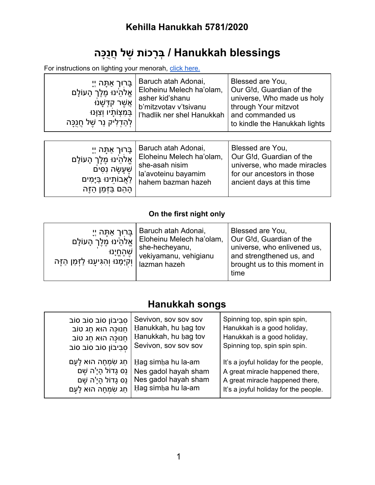# **blessings Hanukkah ְ / בָּרכוֹת ֶ שׁ ֲ ל חֻנָכּה**

For instructions on lighting your menorah, click [here.](https://www.myjewishlearning.com/article/hanukkah-candle-lighting-ceremony/)

| ַבָּרִוּךְ אַתָּה יְיָ<br>אֵלהֵׂינוּ מֶלֶך הָעוֹלָם<br>ּאֲשֶׁר קדְשָׁנוּ<br>ּבְּמִצְוֹתָיו וְצִוָּנוּ<br>ַלְהַדָלִיק נֵר שֵׁל חֲנֻכָּה | Baruch atah Adonai,<br>Eloheinu Melech ha'olam,<br>asher kid'shanu<br>b'mitzvotav v'tsivanu<br>l'hadlik ner shel Hanukkah | Blessed are You,<br>Our G!d, Guardian of the<br>universe, Who made us holy<br>through Your mitzvot<br>and commanded us<br>to kindle the Hanukkah lights |
|----------------------------------------------------------------------------------------------------------------------------------------|---------------------------------------------------------------------------------------------------------------------------|---------------------------------------------------------------------------------------------------------------------------------------------------------|
|                                                                                                                                        |                                                                                                                           |                                                                                                                                                         |
| ַבְּרוּך אַתָּה יְיָ<br>  אֵלהֵׂינוּ מֶלֶךְ הָעוֹלָם                                                                                   | Baruch atah Adonai,<br>Eloheinu Melech ha'olam,<br>الممالحات والمتحام المتحالة                                            | Blessed are You,<br>Our G!d, Guardian of the<br>والمستحدث والمستمر والبارا والمستناور                                                                   |

|                           | Eloheinu Melech ha'olam,   Our G!d, Guardian of the   אֱלֹהֵינוּ מֶלֶךְ הָעוֹלָם  <br>פוֹגוֹי   פוֹאָר הוֹהוֹי   פוֹאַר בּּוֹאַנוּ   פוֹאַר בּּוֹאַנוּ הוֹהָ   פוֹאַר בּוֹאַנוּ ה |                             |
|---------------------------|-----------------------------------------------------------------------------------------------------------------------------------------------------------------------------------|-----------------------------|
| שׁעשׂה נסים               | she-asah nisim                                                                                                                                                                    | universe, who made miracles |
|                           | la'avoteinu bayamim                                                                                                                                                               | for our ancestors in those  |
| ֶ לאבוֹתינוּ בּיַמים      | hahem bazman hazeh                                                                                                                                                                | ancient days at this time   |
| ֿ הָהֵם בַּזִּמַּן הַזֵּה |                                                                                                                                                                                   |                             |

#### **On the first night only**

| she-hecheyanu,<br>ؘשַׁהֶחֱיָנוּ<br>vekiyamanu, vehigianu<br>and strengthened us, and<br>וְקִיְמָנוּ וְהָגִּיעָנוּ לַזְמַן הַזֶּה<br>lazman hazeh<br>time | ַבְּרוּך אַתָּה יְיָ<br>ּן אֵלהֵׂינוּ מֶלֶךְ הָעוֹלָם | Baruch atah Adonai,<br>Eloheinu Melech ha'olam, | Blessed are You,<br>Our G!d, Guardian of the<br>universe, who enlivened us,<br>brought us to this moment in |
|----------------------------------------------------------------------------------------------------------------------------------------------------------|-------------------------------------------------------|-------------------------------------------------|-------------------------------------------------------------------------------------------------------------|
|----------------------------------------------------------------------------------------------------------------------------------------------------------|-------------------------------------------------------|-------------------------------------------------|-------------------------------------------------------------------------------------------------------------|

## **Hanukkah songs**

| סביבון סוב סוב סוב       | Sevivon, sov sov sov | Spinning top, spin spin spin,         |
|--------------------------|----------------------|---------------------------------------|
| חֲנוּכָּה הוּא חֲג טוֹב  | Hanukkah, hu hag tov | Hanukkah is a good holiday,           |
| חנוּכּה הוּא חג טוֹב     | Hanukkah, hu hag tov | Hanukkah is a good holiday,           |
| סביבון סוב סוב סוב       | Sevivon, sov sov sov | Spinning top, spin spin spin.         |
| ּחַג שֹׂמְחָה הוּא לָעַם | Hag simha hu la-am   | It's a joyful holiday for the people, |
| נס גַדוֹל הָיָ'ה שַׁם    | Nes gadol hayah sham | A great miracle happened there,       |
| נס גַדוֹל הַיַ'ה שׁם     | Nes gadol hayah sham | A great miracle happened there,       |
| חַג שֹׁמְחָה הוּא לָעַם  | Hag simha hu la-am   | It's a joyful holiday for the people. |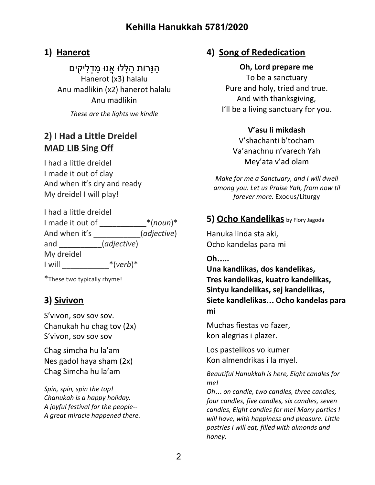## **1) Hanerot**

ַהֵנּרוֹת ַהָלּלוּ ֲאנוּ ַמְדִליִקים Hanerot (x3) halalu Anu madlikin (x2) hanerot halalu Anu madlikin *These are the lights we kindle*

### **2) I Had a Little Dreidel MAD LIB Sing Off**

I had a little dreidel I made it out of clay And when it's dry and ready My dreidel I will play!

I had a little dreidel I made it out of \_\_\_\_\_\_\_\_\_\_\_\*(*noun*)\* And when it's \_\_\_\_\_\_\_\_\_\_\_(*adjective*) and \_\_\_\_\_\_\_\_\_\_(*adjective*) My dreidel I will \_\_\_\_\_\_\_\_\_\_\_\*(*verb*)\*

\*These two typically rhyme!

## **3) Sivivon**

S'vivon, sov sov sov. Chanukah hu chag tov (2x) S'vivon, sov sov sov

Chag simcha hu la'am Nes gadol haya sham (2x) Chag Simcha hu la'am

*Spin, spin, spin the top! Chanukah is a happy holiday. A joyful festival for the people-- A great miracle happened there.*

## **4) Song of Rededication**

#### **Oh, Lord prepare me**

To be a sanctuary Pure and holy, tried and true. And with thanksgiving, I'll be a living sanctuary for you.

#### **V'asu li mikdash**

V'shachanti b'tocham Va'anachnu n'varech Yah Mey'ata v'ad olam

*Make for me a Sanctuary, and I will dwell among you. Let us Praise Yah, from now til forever more.* Exodus/Liturgy

### **5) Ocho Kandelikas** by Flory Jagoda

Hanuka linda sta aki, Ocho kandelas para mi

#### **Oh**…**..**

**Una kandlikas, dos kandelikas, Tres kandelikas, kuatro kandelikas, Sintyu kandelikas, sej kandelikas, Siete kandlelikas**… **Ocho kandelas para mi**

Muchas fiestas vo fazer, kon alegrias i plazer.

Los pastelikos vo kumer Kon almendrikas i la myel.

*Beautiful Hanukkah is here, Eight candles for me!*

*Oh*… *on candle, two candles, three candles, four candles, five candles, six candles, seven candles, Eight candles for me! Many parties I will have, with happiness and pleasure. Little pastries I will eat, filled with almonds and honey.*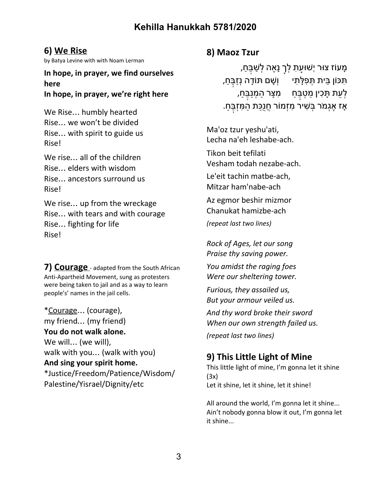### **Kehilla Hanukkah 5781/2020**

#### **6) We Rise**

by Batya Levine with with Noam Lerman

## **In hope, in prayer, we find ourselves here**

**In hope, in prayer, we're right here**

We Rise… humbly hearted Rise… we won't be divided Rise… with spirit to guide us Rise!

We rise… all of the children Rise… elders with wisdom Rise… ancestors surround us Rise!

We rise… up from the wreckage Rise… with tears and with courage Rise… fighting for life Rise!

**7) Courage** - adapted from the South African Anti-Apartheid Movement, sung as protesters were being taken to jail and as a way to learn people's' names in the jail cells.

\*Courage… (courage), my friend… (my friend) **You do not walk alone.** We will… (we will), walk with you… (walk with you) **And sing your spirit home.** \*Justice/Freedom/Patience/Wisdom/ Palestine/Yisrael/Dignity/etc

### **8) Maoz Tzur**

ָּמָעוֹז צוּר יְשׁוּעָתָ לְךָ נָאֶה לְשַׁבְּ۪חַ, תִּכּוֹן בֵּית תְּפִלָּתִי <sup>ֶ</sup>ח וְשָׁם תּוֹדָה נְזַבְ<u>ּה</u>ָח, לְעֵת תָּכִין מַטְבֶּחַ מִצָּר הַמְנַבֶּחַ, ָּאָז אֶגְמֹר בְּשִׁיר מִזְמוֹר חֲנֻכַּת הַמִּזְבְָּחַ.

Ma'oz tzur yeshu'ati, Lecha na'eh leshabe-ach.

Tikon beit tefilati Vesham todah nezabe-ach.

Le'eit tachin matbe-ach, Mitzar ham'nabe-ach

Az egmor beshir mizmor Chanukat hamizbe-ach

*(repeat last two lines)*

*Rock of Ages, let our song Praise thy saving power.*

*You amidst the raging foes Were our sheltering tower.*

*Furious, they assailed us, But your armour veiled us.*

*And thy word broke their sword When our own strength failed us.*

*(repeat last two lines)*

## **9) This Little Light of Mine**

This little light of mine, I'm gonna let it shine (3x) Let it shine, let it shine, let it shine!

All around the world, I'm gonna let it shine... Ain't nobody gonna blow it out, I'm gonna let it shine...